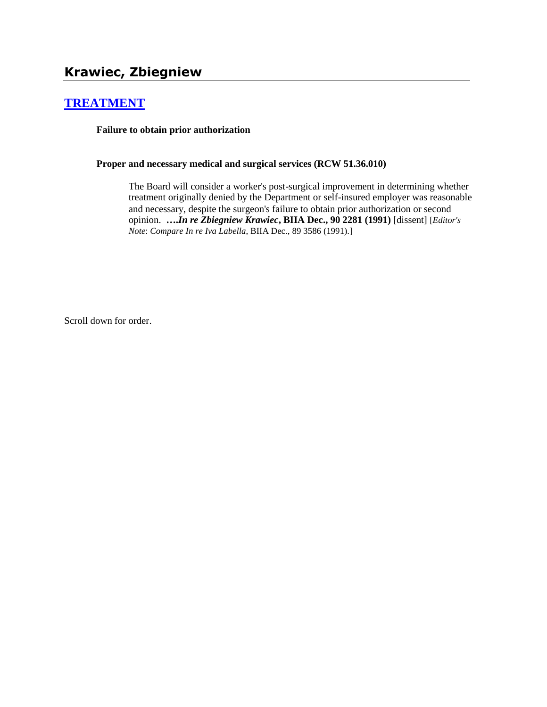# **[TREATMENT](http://www.biia.wa.gov/SDSubjectIndex.html#TREATMENT)**

**Failure to obtain prior authorization**

**Proper and necessary medical and surgical services (RCW 51.36.010)**

The Board will consider a worker's post-surgical improvement in determining whether treatment originally denied by the Department or self-insured employer was reasonable and necessary, despite the surgeon's failure to obtain prior authorization or second opinion. **….***In re Zbiegniew Krawiec***, BIIA Dec., 90 2281 (1991)** [dissent] [*Editor's Note*: *Compare In re Iva Labella*, BIIA Dec., 89 3586 (1991).]

Scroll down for order.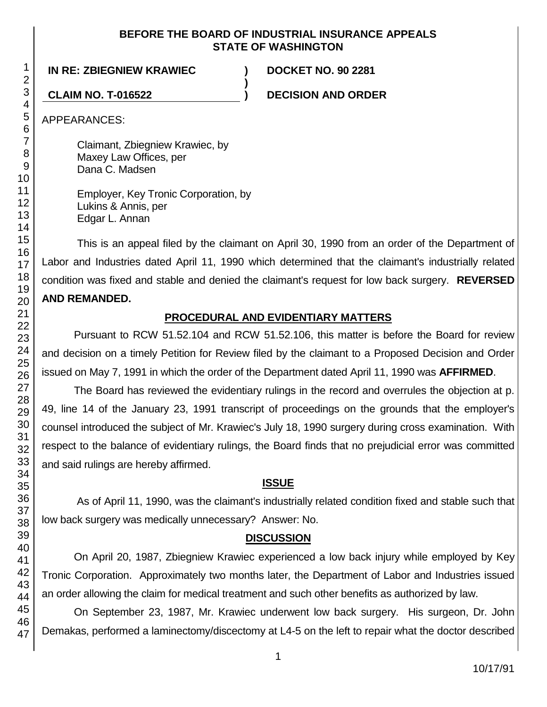#### **BEFORE THE BOARD OF INDUSTRIAL INSURANCE APPEALS STATE OF WASHINGTON**

**)**

## **IN RE: ZBIEGNIEW KRAWIEC ) DOCKET NO. 90 2281**

**CLAIM NO. T-016522 ) DECISION AND ORDER**

APPEARANCES:

Claimant, Zbiegniew Krawiec, by Maxey Law Offices, per Dana C. Madsen

Employer, Key Tronic Corporation, by Lukins & Annis, per Edgar L. Annan

This is an appeal filed by the claimant on April 30, 1990 from an order of the Department of Labor and Industries dated April 11, 1990 which determined that the claimant's industrially related condition was fixed and stable and denied the claimant's request for low back surgery. **REVERSED AND REMANDED.**

# **PROCEDURAL AND EVIDENTIARY MATTERS**

Pursuant to RCW 51.52.104 and RCW 51.52.106, this matter is before the Board for review and decision on a timely Petition for Review filed by the claimant to a Proposed Decision and Order issued on May 7, 1991 in which the order of the Department dated April 11, 1990 was **AFFIRMED**.

The Board has reviewed the evidentiary rulings in the record and overrules the objection at p. 49, line 14 of the January 23, 1991 transcript of proceedings on the grounds that the employer's counsel introduced the subject of Mr. Krawiec's July 18, 1990 surgery during cross examination. With respect to the balance of evidentiary rulings, the Board finds that no prejudicial error was committed and said rulings are hereby affirmed.

# **ISSUE**

As of April 11, 1990, was the claimant's industrially related condition fixed and stable such that low back surgery was medically unnecessary? Answer: No.

# **DISCUSSION**

On April 20, 1987, Zbiegniew Krawiec experienced a low back injury while employed by Key Tronic Corporation. Approximately two months later, the Department of Labor and Industries issued an order allowing the claim for medical treatment and such other benefits as authorized by law.

On September 23, 1987, Mr. Krawiec underwent low back surgery. His surgeon, Dr. John Demakas, performed a laminectomy/discectomy at L4-5 on the left to repair what the doctor described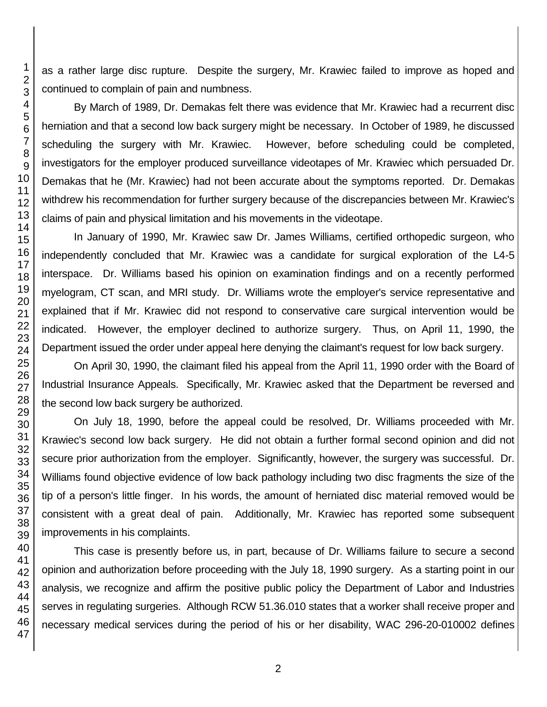as a rather large disc rupture. Despite the surgery, Mr. Krawiec failed to improve as hoped and continued to complain of pain and numbness.

By March of 1989, Dr. Demakas felt there was evidence that Mr. Krawiec had a recurrent disc herniation and that a second low back surgery might be necessary. In October of 1989, he discussed scheduling the surgery with Mr. Krawiec. However, before scheduling could be completed, investigators for the employer produced surveillance videotapes of Mr. Krawiec which persuaded Dr. Demakas that he (Mr. Krawiec) had not been accurate about the symptoms reported. Dr. Demakas withdrew his recommendation for further surgery because of the discrepancies between Mr. Krawiec's claims of pain and physical limitation and his movements in the videotape.

In January of 1990, Mr. Krawiec saw Dr. James Williams, certified orthopedic surgeon, who independently concluded that Mr. Krawiec was a candidate for surgical exploration of the L4-5 interspace. Dr. Williams based his opinion on examination findings and on a recently performed myelogram, CT scan, and MRI study. Dr. Williams wrote the employer's service representative and explained that if Mr. Krawiec did not respond to conservative care surgical intervention would be indicated. However, the employer declined to authorize surgery. Thus, on April 11, 1990, the Department issued the order under appeal here denying the claimant's request for low back surgery.

On April 30, 1990, the claimant filed his appeal from the April 11, 1990 order with the Board of Industrial Insurance Appeals. Specifically, Mr. Krawiec asked that the Department be reversed and the second low back surgery be authorized.

On July 18, 1990, before the appeal could be resolved, Dr. Williams proceeded with Mr. Krawiec's second low back surgery. He did not obtain a further formal second opinion and did not secure prior authorization from the employer. Significantly, however, the surgery was successful. Dr. Williams found objective evidence of low back pathology including two disc fragments the size of the tip of a person's little finger. In his words, the amount of herniated disc material removed would be consistent with a great deal of pain. Additionally, Mr. Krawiec has reported some subsequent improvements in his complaints.

This case is presently before us, in part, because of Dr. Williams failure to secure a second opinion and authorization before proceeding with the July 18, 1990 surgery. As a starting point in our analysis, we recognize and affirm the positive public policy the Department of Labor and Industries serves in regulating surgeries. Although RCW 51.36.010 states that a worker shall receive proper and necessary medical services during the period of his or her disability, WAC 296-20-010002 defines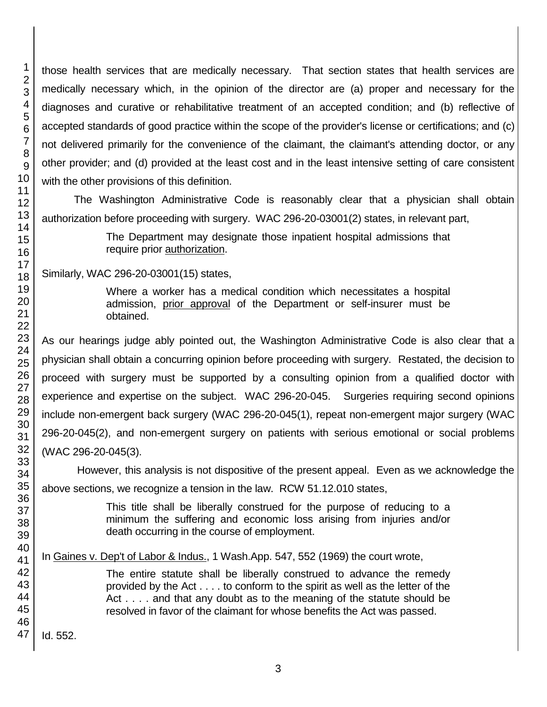those health services that are medically necessary. That section states that health services are medically necessary which, in the opinion of the director are (a) proper and necessary for the diagnoses and curative or rehabilitative treatment of an accepted condition; and (b) reflective of accepted standards of good practice within the scope of the provider's license or certifications; and (c) not delivered primarily for the convenience of the claimant, the claimant's attending doctor, or any other provider; and (d) provided at the least cost and in the least intensive setting of care consistent with the other provisions of this definition.

The Washington Administrative Code is reasonably clear that a physician shall obtain authorization before proceeding with surgery. WAC 296-20-03001(2) states, in relevant part,

> The Department may designate those inpatient hospital admissions that require prior **authorization**.

Similarly, WAC 296-20-03001(15) states,

Where a worker has a medical condition which necessitates a hospital admission, prior approval of the Department or self-insurer must be obtained.

As our hearings judge ably pointed out, the Washington Administrative Code is also clear that a physician shall obtain a concurring opinion before proceeding with surgery. Restated, the decision to proceed with surgery must be supported by a consulting opinion from a qualified doctor with experience and expertise on the subject. WAC 296-20-045. Surgeries requiring second opinions include non-emergent back surgery (WAC 296-20-045(1), repeat non-emergent major surgery (WAC 296-20-045(2), and non-emergent surgery on patients with serious emotional or social problems (WAC 296-20-045(3).

However, this analysis is not dispositive of the present appeal. Even as we acknowledge the above sections, we recognize a tension in the law. RCW 51.12.010 states,

> This title shall be liberally construed for the purpose of reducing to a minimum the suffering and economic loss arising from injuries and/or death occurring in the course of employment.

In Gaines v. Dep't of Labor & Indus., 1 Wash.App. 547, 552 (1969) the court wrote,

The entire statute shall be liberally construed to advance the remedy provided by the Act . . . . to conform to the spirit as well as the letter of the Act . . . . and that any doubt as to the meaning of the statute should be resolved in favor of the claimant for whose benefits the Act was passed.

Id. 552.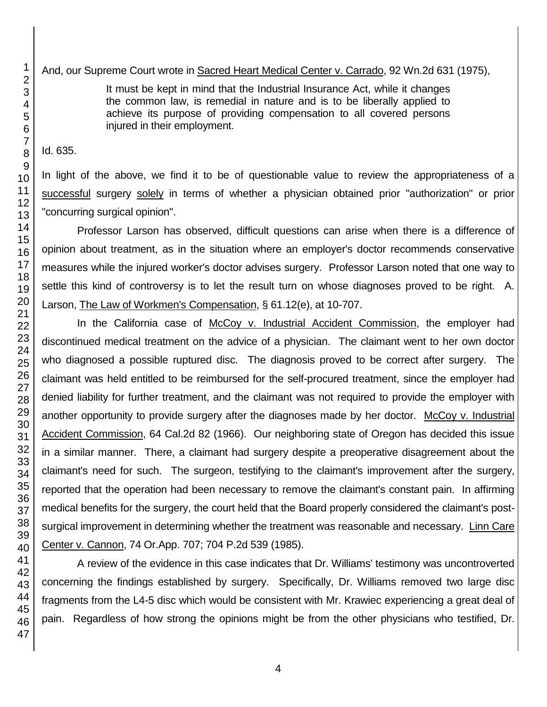It must be kept in mind that the Industrial Insurance Act, while it changes the common law, is remedial in nature and is to be liberally applied to achieve its purpose of providing compensation to all covered persons injured in their employment.

Id. 635.

In light of the above, we find it to be of questionable value to review the appropriateness of a successful surgery solely in terms of whether a physician obtained prior "authorization" or prior "concurring surgical opinion".

Professor Larson has observed, difficult questions can arise when there is a difference of opinion about treatment, as in the situation where an employer's doctor recommends conservative measures while the injured worker's doctor advises surgery. Professor Larson noted that one way to settle this kind of controversy is to let the result turn on whose diagnoses proved to be right. A. Larson, The Law of Workmen's Compensation, § 61.12(e), at 10-707.

In the California case of McCoy v. Industrial Accident Commission, the employer had discontinued medical treatment on the advice of a physician. The claimant went to her own doctor who diagnosed a possible ruptured disc. The diagnosis proved to be correct after surgery. The claimant was held entitled to be reimbursed for the self-procured treatment, since the employer had denied liability for further treatment, and the claimant was not required to provide the employer with another opportunity to provide surgery after the diagnoses made by her doctor. McCoy v. Industrial Accident Commission, 64 Cal.2d 82 (1966). Our neighboring state of Oregon has decided this issue in a similar manner. There, a claimant had surgery despite a preoperative disagreement about the claimant's need for such. The surgeon, testifying to the claimant's improvement after the surgery, reported that the operation had been necessary to remove the claimant's constant pain. In affirming medical benefits for the surgery, the court held that the Board properly considered the claimant's postsurgical improvement in determining whether the treatment was reasonable and necessary. Linn Care Center v. Cannon, 74 Or.App. 707; 704 P.2d 539 (1985).

A review of the evidence in this case indicates that Dr. Williams' testimony was uncontroverted concerning the findings established by surgery. Specifically, Dr. Williams removed two large disc fragments from the L4-5 disc which would be consistent with Mr. Krawiec experiencing a great deal of pain. Regardless of how strong the opinions might be from the other physicians who testified, Dr.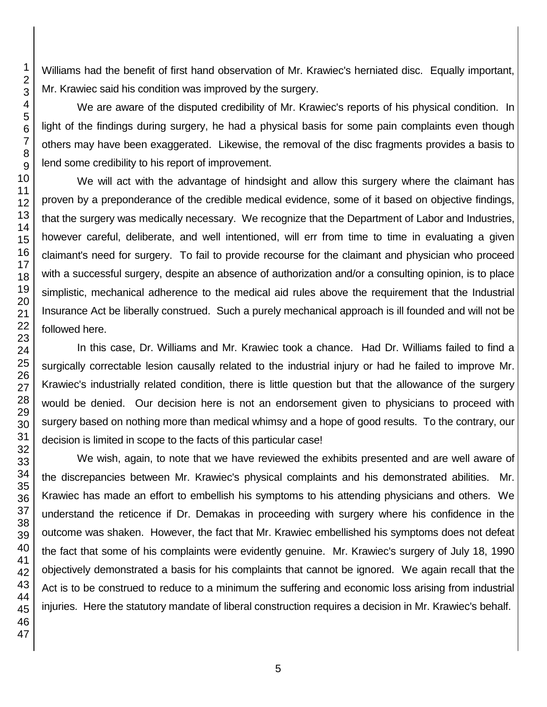Williams had the benefit of first hand observation of Mr. Krawiec's herniated disc. Equally important, Mr. Krawiec said his condition was improved by the surgery.

We are aware of the disputed credibility of Mr. Krawiec's reports of his physical condition. In light of the findings during surgery, he had a physical basis for some pain complaints even though others may have been exaggerated. Likewise, the removal of the disc fragments provides a basis to lend some credibility to his report of improvement.

We will act with the advantage of hindsight and allow this surgery where the claimant has proven by a preponderance of the credible medical evidence, some of it based on objective findings, that the surgery was medically necessary. We recognize that the Department of Labor and Industries, however careful, deliberate, and well intentioned, will err from time to time in evaluating a given claimant's need for surgery. To fail to provide recourse for the claimant and physician who proceed with a successful surgery, despite an absence of authorization and/or a consulting opinion, is to place simplistic, mechanical adherence to the medical aid rules above the requirement that the Industrial Insurance Act be liberally construed. Such a purely mechanical approach is ill founded and will not be followed here.

In this case, Dr. Williams and Mr. Krawiec took a chance. Had Dr. Williams failed to find a surgically correctable lesion causally related to the industrial injury or had he failed to improve Mr. Krawiec's industrially related condition, there is little question but that the allowance of the surgery would be denied. Our decision here is not an endorsement given to physicians to proceed with surgery based on nothing more than medical whimsy and a hope of good results. To the contrary, our decision is limited in scope to the facts of this particular case!

We wish, again, to note that we have reviewed the exhibits presented and are well aware of the discrepancies between Mr. Krawiec's physical complaints and his demonstrated abilities. Mr. Krawiec has made an effort to embellish his symptoms to his attending physicians and others. We understand the reticence if Dr. Demakas in proceeding with surgery where his confidence in the outcome was shaken. However, the fact that Mr. Krawiec embellished his symptoms does not defeat the fact that some of his complaints were evidently genuine. Mr. Krawiec's surgery of July 18, 1990 objectively demonstrated a basis for his complaints that cannot be ignored. We again recall that the Act is to be construed to reduce to a minimum the suffering and economic loss arising from industrial injuries. Here the statutory mandate of liberal construction requires a decision in Mr. Krawiec's behalf.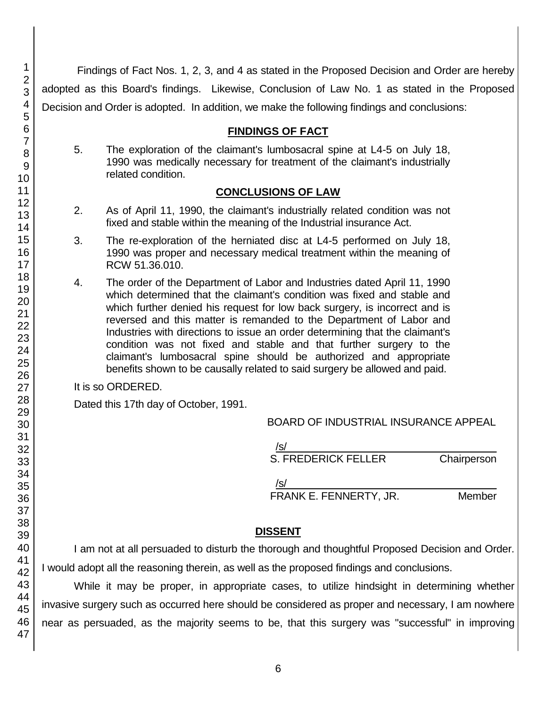Findings of Fact Nos. 1, 2, 3, and 4 as stated in the Proposed Decision and Order are hereby adopted as this Board's findings. Likewise, Conclusion of Law No. 1 as stated in the Proposed Decision and Order is adopted. In addition, we make the following findings and conclusions:

# **FINDINGS OF FACT**

5. The exploration of the claimant's lumbosacral spine at L4-5 on July 18, 1990 was medically necessary for treatment of the claimant's industrially related condition.

#### **CONCLUSIONS OF LAW**

- 2. As of April 11, 1990, the claimant's industrially related condition was not fixed and stable within the meaning of the Industrial insurance Act.
- 3. The re-exploration of the herniated disc at L4-5 performed on July 18, 1990 was proper and necessary medical treatment within the meaning of RCW 51.36.010.
- 4. The order of the Department of Labor and Industries dated April 11, 1990 which determined that the claimant's condition was fixed and stable and which further denied his request for low back surgery, is incorrect and is reversed and this matter is remanded to the Department of Labor and Industries with directions to issue an order determining that the claimant's condition was not fixed and stable and that further surgery to the claimant's lumbosacral spine should be authorized and appropriate benefits shown to be causally related to said surgery be allowed and paid.

It is so ORDERED.

Dated this 17th day of October, 1991.

BOARD OF INDUSTRIAL INSURANCE APPEAL

/s/\_\_\_\_\_\_\_\_\_\_\_\_\_\_\_\_\_\_\_\_\_\_\_\_\_\_\_\_\_\_\_\_\_\_\_\_ S. FREDERICK FELLER Chairperson

 $/$ s/ $\sim$ FRANK E. FENNERTY, JR. Member

## **DISSENT**

I am not at all persuaded to disturb the thorough and thoughtful Proposed Decision and Order. I would adopt all the reasoning therein, as well as the proposed findings and conclusions.

While it may be proper, in appropriate cases, to utilize hindsight in determining whether invasive surgery such as occurred here should be considered as proper and necessary, I am nowhere near as persuaded, as the majority seems to be, that this surgery was "successful" in improving